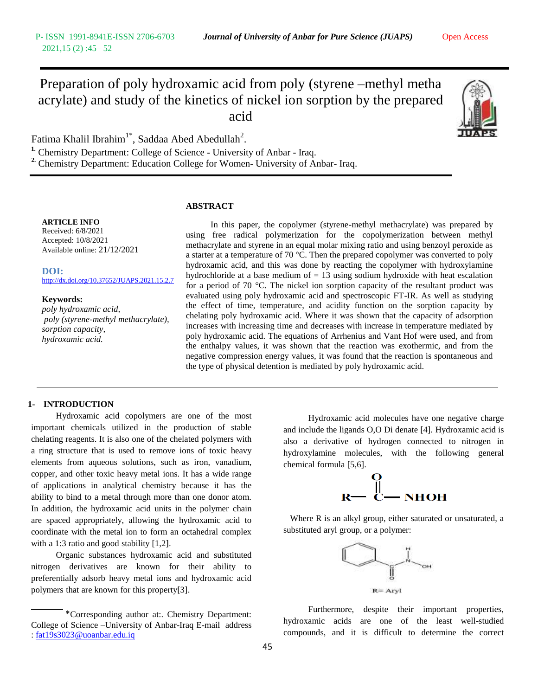# Preparation of poly hydroxamic acid from poly (styrene –methyl metha acrylate) and study of the kinetics of nickel ion sorption by the prepared acid



Fatima Khalil Ibrahim<sup>1\*</sup>, Saddaa Abed Abedullah<sup>2</sup>.

**1.** Chemistry Department: College of Science - University of Anbar - Iraq. **2.** Chemistry Department: Education College for Women- University of Anbar- Iraq.

### **ABSTRACT**

#### **ARTICLE INFO**

Received: 6/8/2021 Accepted: 10/8/2021 Available online: 21/12/2021

**DOI:**  [http://dx.doi.org/10.37652/JUAPS.2021.15.2.7](http://dx.doi.org/10.37652/JUAPS.2021.15.1.3)

### **Keywords:**

*poly hydroxamic acid, poly (styrene-methyl methacrylate), sorption capacity, hydroxamic acid.*

In this paper, the copolymer (styrene-methyl methacrylate) was prepared by using free radical polymerization for the copolymerization between methyl methacrylate and styrene in an equal molar mixing ratio and using benzoyl peroxide as a starter at a temperature of 70  $^{\circ}$ C. Then the prepared copolymer was converted to poly hydroxamic acid, and this was done by reacting the copolymer with hydroxylamine hydrochloride at a base medium of  $= 13$  using sodium hydroxide with heat escalation for a period of 70  $^{\circ}$ C. The nickel ion sorption capacity of the resultant product was evaluated using poly hydroxamic acid and spectroscopic FT-IR. As well as studying the effect of time, temperature, and acidity function on the sorption capacity by chelating poly hydroxamic acid. Where it was shown that the capacity of adsorption increases with increasing time and decreases with increase in temperature mediated by poly hydroxamic acid. The equations of Arrhenius and Vant Hof were used, and from the enthalpy values, it was shown that the reaction was exothermic, and from the negative compression energy values, it was found that the reaction is spontaneous and the type of physical detention is mediated by poly hydroxamic acid.

### **1- INTRODUCTION**

Hydroxamic acid copolymers are one of the most important chemicals utilized in the production of stable chelating reagents. It is also one of the chelated polymers with a ring structure that is used to remove ions of toxic heavy elements from aqueous solutions, such as iron, vanadium, copper, and other toxic heavy metal ions. It has a wide range of applications in analytical chemistry because it has the ability to bind to a metal through more than one donor atom. In addition, the hydroxamic acid units in the polymer chain are spaced appropriately, allowing the hydroxamic acid to coordinate with the metal ion to form an octahedral complex with a 1:3 ratio and good stability [1,2].

Organic substances hydroxamic acid and substituted nitrogen derivatives are known for their ability to preferentially adsorb heavy metal ions and hydroxamic acid polymers that are known for this property[3].

Hydroxamic acid molecules have one negative charge and include the ligands O,O Di denate [4]. Hydroxamic acid is also a derivative of hydrogen connected to nitrogen in hydroxylamine molecules, with the following general chemical formula [5,6].



 Where R is an alkyl group, either saturated or unsaturated, a substituted aryl group, or a polymer:



Furthermore, despite their important properties, hydroxamic acids are one of the least well-studied compounds, and it is difficult to determine the correct

<sup>\*</sup>Corresponding author at:. Chemistry Department: College of Science –University of Anbar-Iraq E-mail address : fat19s3023@uoanbar.edu.iq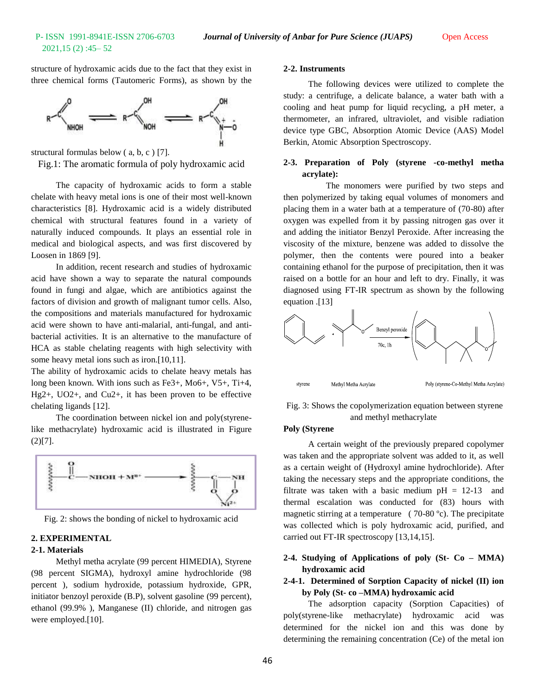structure of hydroxamic acids due to the fact that they exist in three chemical forms (Tautomeric Forms), as shown by the



structural formulas below ( a, b, c ) [7].

Fig.1: The aromatic formula of poly hydroxamic acid

The capacity of hydroxamic acids to form a stable chelate with heavy metal ions is one of their most well-known characteristics [8]. Hydroxamic acid is a widely distributed chemical with structural features found in a variety of naturally induced compounds. It plays an essential role in medical and biological aspects, and was first discovered by Loosen in 1869 [9].

In addition, recent research and studies of hydroxamic acid have shown a way to separate the natural compounds found in fungi and algae, which are antibiotics against the factors of division and growth of malignant tumor cells. Also, the compositions and materials manufactured for hydroxamic acid were shown to have anti-malarial, anti-fungal, and antibacterial activities. It is an alternative to the manufacture of HCA as stable chelating reagents with high selectivity with some heavy metal ions such as iron.[10,11].

The ability of hydroxamic acids to chelate heavy metals has long been known. With ions such as Fe3+, Mo6+, V5+, Ti+4, Hg2+, UO2+, and Cu2+, it has been proven to be effective chelating ligands [12].

The coordination between nickel ion and poly(styrenelike methacrylate) hydroxamic acid is illustrated in Figure  $(2)[7]$ .



Fig. 2: shows the bonding of nickel to hydroxamic acid

#### **2. EXPERIMENTAL**

### **2-1. Materials**

Methyl metha acrylate (99 percent HIMEDIA), Styrene (98 percent SIGMA), hydroxyl amine hydrochloride (98 percent ), sodium hydroxide, potassium hydroxide, GPR, initiator benzoyl peroxide (B.P), solvent gasoline (99 percent), ethanol (99.9% ), Manganese (II) chloride, and nitrogen gas were employed.[10].

#### **2-2. Instruments**

The following devices were utilized to complete the study: a centrifuge, a delicate balance, a water bath with a cooling and heat pump for liquid recycling, a pH meter, a thermometer, an infrared, ultraviolet, and visible radiation device type GBC, Absorption Atomic Device (AAS) Model Berkin, Atomic Absorption Spectroscopy.

### **2-3. Preparation of Poly (styrene -co-methyl metha acrylate):**

 The monomers were purified by two steps and then polymerized by taking equal volumes of monomers and placing them in a water bath at a temperature of (70-80) after oxygen was expelled from it by passing nitrogen gas over it and adding the initiator Benzyl Peroxide. After increasing the viscosity of the mixture, benzene was added to dissolve the polymer, then the contents were poured into a beaker containing ethanol for the purpose of precipitation, then it was raised on a bottle for an hour and left to dry. Finally, it was diagnosed using FT-IR spectrum as shown by the following equation .[13]



Fig. 3: Shows the copolymerization equation between styrene and methyl methacrylate

#### **Poly (Styrene**

A certain weight of the previously prepared copolymer was taken and the appropriate solvent was added to it, as well as a certain weight of (Hydroxyl amine hydrochloride). After taking the necessary steps and the appropriate conditions, the filtrate was taken with a basic medium  $pH = 12-13$  and thermal escalation was conducted for (83) hours with magnetic stirring at a temperature (70-80 °c). The precipitate was collected which is poly hydroxamic acid, purified, and carried out FT-IR spectroscopy [13,14,15].

### **2-4. Studying of Applications of poly (St- Co – MMA) hydroxamic acid**

### **2-4-1. Determined of Sorption Capacity of nickel (II) ion by Poly (St- co –MMA) hydroxamic acid**

The adsorption capacity (Sorption Capacities) of poly(styrene-like methacrylate) hydroxamic acid was determined for the nickel ion and this was done by determining the remaining concentration (Ce) of the metal ion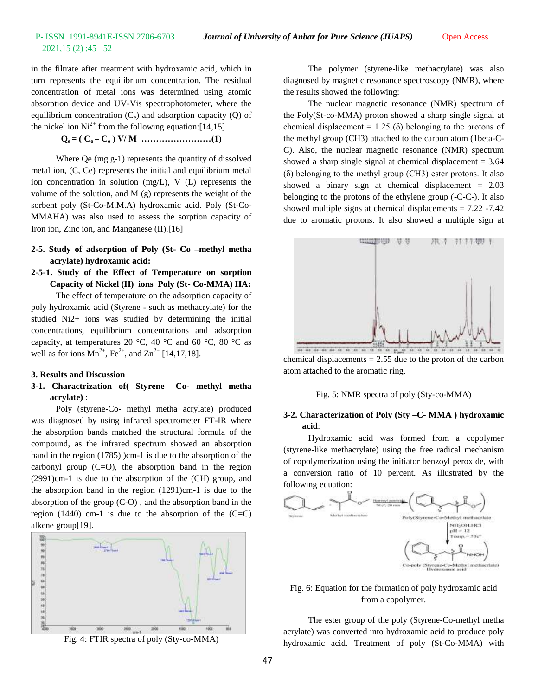in the filtrate after treatment with hydroxamic acid, which in turn represents the equilibrium concentration. The residual concentration of metal ions was determined using atomic absorption device and UV-Vis spectrophotometer, where the equilibrium concentration  $(C_e)$  and adsorption capacity  $(Q)$  of the nickel ion  $Ni^{2+}$  from the following equation: [14,15]

 $Q_e = (C_0 - C_e)$  V/M …………………………………………(1)

Where Qe (mg.g-1) represents the quantity of dissolved metal ion, (C, Ce) represents the initial and equilibrium metal ion concentration in solution (mg/L), V (L) represents the volume of the solution, and M (g) represents the weight of the sorbent poly (St-Co-M.M.A) hydroxamic acid. Poly (St-Co-MMAHA) was also used to assess the sorption capacity of Iron ion, Zinc ion, and Manganese (II).[16]

- **2-5. Study of adsorption of Poly (St- Co –methyl metha acrylate) hydroxamic acid:**
- **2-5-1. Study of the Effect of Temperature on sorption Capacity of Nickel (II) ions Poly (St- Co-MMA) HA:**

The effect of temperature on the adsorption capacity of poly hydroxamic acid (Styrene - such as methacrylate) for the studied Ni2+ ions was studied by determining the initial concentrations, equilibrium concentrations and adsorption capacity, at temperatures 20 °C, 40 °C and 60 °C, 80 °C as well as for ions  $Mn^{2+}$ , Fe<sup>2+</sup>, and  $Zn^{2+}$  [14,17,18].

### **3. Results and Discussion**

**3-1. Charactrization of( Styrene –Co- methyl metha acrylate)** :

Poly (styrene-Co- methyl metha acrylate) produced was diagnosed by using infrared spectrometer FT-IR where the absorption bands matched the structural formula of the compound, as the infrared spectrum showed an absorption band in the region (1785) )cm-1 is due to the absorption of the carbonyl group  $(C=O)$ , the absorption band in the region (2991)cm-1 is due to the absorption of the (CH) group, and the absorption band in the region (1291)cm-1 is due to the absorption of the group (C-O) , and the absorption band in the region  $(1440)$  cm-1 is due to the absorption of the  $(C=C)$ alkene group[19].



Fig. 4: FTIR spectra of poly (Sty-co-MMA)

The polymer (styrene-like methacrylate) was also diagnosed by magnetic resonance spectroscopy (NMR), where the results showed the following:

The nuclear magnetic resonance (NMR) spectrum of the Poly(St-co-MMA) proton showed a sharp single signal at chemical displacement =  $1.25$  ( $\delta$ ) belonging to the protons of the methyl group (CH3) attached to the carbon atom (1beta-C-C). Also, the nuclear magnetic resonance (NMR) spectrum showed a sharp single signal at chemical displacement  $= 3.64$ (δ) belonging to the methyl group (CH3) ester protons. It also showed a binary sign at chemical displacement  $= 2.03$ belonging to the protons of the ethylene group (-C-C-). It also showed multiple signs at chemical displacements = 7.22 -7.42 due to aromatic protons. It also showed a multiple sign at



chemical displacements  $= 2.55$  due to the proton of the carbon atom attached to the aromatic ring.

Fig. 5: NMR spectra of poly (Sty-co-MMA)

### **3-2. Characterization of Poly (Sty –C- MMA ) hydroxamic acid**:

Hydroxamic acid was formed from a copolymer (styrene-like methacrylate) using the free radical mechanism of copolymerization using the initiator benzoyl peroxide, with a conversion ratio of 10 percent. As illustrated by the following equation:



Fig. 6: Equation for the formation of poly hydroxamic acid from a copolymer.

The ester group of the poly (Styrene-Co-methyl metha acrylate) was converted into hydroxamic acid to produce poly hydroxamic acid. Treatment of poly (St-Co-MMA) with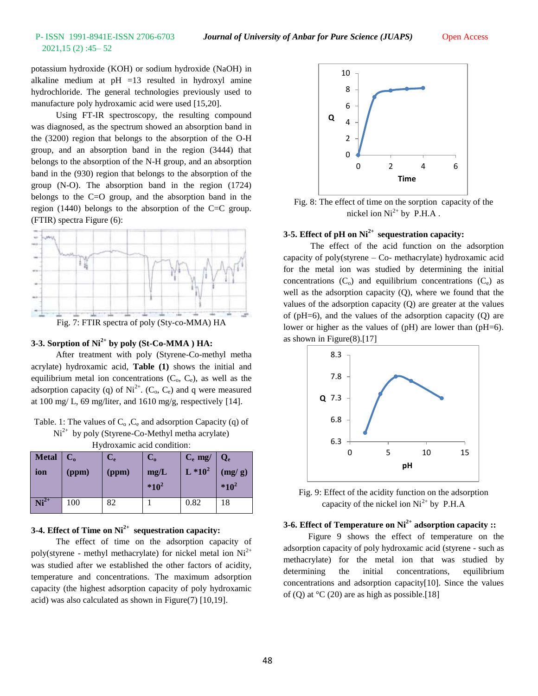potassium hydroxide (KOH) or sodium hydroxide (NaOH) in alkaline medium at  $pH = 13$  resulted in hydroxyl amine hydrochloride. The general technologies previously used to manufacture poly hydroxamic acid were used [15,20].

Using FT-IR spectroscopy, the resulting compound was diagnosed, as the spectrum showed an absorption band in the (3200) region that belongs to the absorption of the O-H group, and an absorption band in the region (3444) that belongs to the absorption of the N-H group, and an absorption band in the (930) region that belongs to the absorption of the group (N-O). The absorption band in the region (1724) belongs to the C=O group, and the absorption band in the region (1440) belongs to the absorption of the C=C group. (FTIR) spectra Figure (6):



Fig. 7: FTIR spectra of poly (Sty-co-MMA) HA

# **3-3. Sorption of Ni2+ by poly (St-Co-MMA ) HA:**

After treatment with poly (Styrene-Co-methyl metha acrylate) hydroxamic acid, **Table (1)** shows the initial and equilibrium metal ion concentrations  $(C_0, C_0)$ , as well as the adsorption capacity (q) of  $Ni^{2+}$ . (C<sub>o</sub>, C<sub>e</sub>) and q were measured at 100 mg/ L, 69 mg/liter, and 1610 mg/g, respectively [14].

| Table. 1: The values of $C_0$ , $C_e$ and adsorption Capacity (q) of |
|----------------------------------------------------------------------|
| $Ni2+$ by poly (Styrene-Co-Methyl metha acrylate)                    |
| Hydroxamic acid condition:                                           |

| Metal  <br>ion | $\mathbf{C}_\mathbf{o}$<br>(ppm) | $\mathbf{C}_{\mathbf{e}}$<br>(ppm) | $\mathbf{C}_\mathrm{o}$<br>mg/L<br>$*10^2$ | $C_e$ mg/<br>$L * 10^2$ | $\mathbf{Q}_{\mathbf{e}}$<br>(mg/g)<br>$*10^2$ |
|----------------|----------------------------------|------------------------------------|--------------------------------------------|-------------------------|------------------------------------------------|
| $Ni2+$         | 100                              | 82                                 |                                            | 0.82                    | 18                                             |

### **3-4. Effect of Time on Ni2+ sequestration capacity:**

The effect of time on the adsorption capacity of poly(styrene - methyl methacrylate) for nickel metal ion  $Ni<sup>2+</sup>$ was studied after we established the other factors of acidity, temperature and concentrations. The maximum adsorption capacity (the highest adsorption capacity of poly hydroxamic acid) was also calculated as shown in Figure(7) [10,19].



Fig. 8: The effect of time on the sorption capacity of the nickel ion  $Ni^{2+}$  by P.H.A.

### **3-5. Effect of pH on Ni2+ sequestration capacity:**

The effect of the acid function on the adsorption capacity of poly(styrene – Co- methacrylate) hydroxamic acid for the metal ion was studied by determining the initial concentrations  $(C_0)$  and equilibrium concentrations  $(C_e)$  as well as the adsorption capacity (Q), where we found that the values of the adsorption capacity (Q) are greater at the values of ( $pH=6$ ), and the values of the adsorption capacity (Q) are lower or higher as the values of (pH) are lower than (pH=6). as shown in Figure(8).[17]



Fig. 9: Effect of the acidity function on the adsorption capacity of the nickel ion  $Ni^{2+}$  by P.H.A

# **3-6. Effect of Temperature on Ni2+ adsorption capacity ::**

Figure 9 shows the effect of temperature on the adsorption capacity of poly hydroxamic acid (styrene - such as methacrylate) for the metal ion that was studied by determining the initial concentrations, equilibrium concentrations and adsorption capacity[10]. Since the values of (Q) at  $°C$  (20) are as high as possible.[18]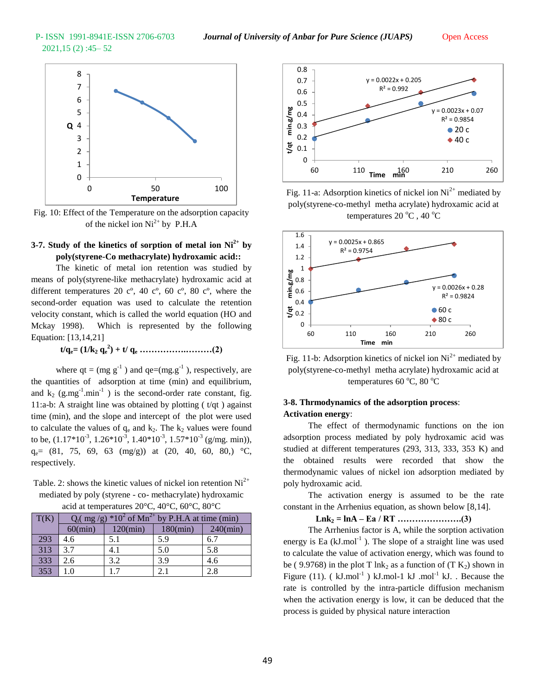

Fig. 10: Effect of the Temperature on the adsorption capacity of the nickel ion  $Ni^{2+}$  by P.H.A

## **3-7. Study of the kinetics of sorption of metal ion Ni2+ by poly(styrene-Co methacrylate) hydroxamic acid::**

The kinetic of metal ion retention was studied by means of poly(styrene-like methacrylate) hydroxamic acid at different temperatures 20  $c^{\circ}$ , 40  $c^{\circ}$ , 60  $c^{\circ}$ , 80  $c^{\circ}$ , where the second-order equation was used to calculate the retention velocity constant, which is called the world equation (HO and Mckay 1998). Which is represented by the following Equation: [13,14,21]

**t/qe= (1/k<sup>2</sup> q<sup>e</sup> 2 ) + t/ q<sup>e</sup> …………….………(2)**

where  $qt = (mg g<sup>-1</sup>)$  and  $qe=(mg.g<sup>-1</sup>)$ , respectively, are the quantities of adsorption at time (min) and equilibrium, and  $k_2$  (g.mg<sup>-1</sup>.min<sup>-1</sup>) is the second-order rate constant, fig. 11:a-b: A straight line was obtained by plotting  $(t/qt)$  against time (min), and the slope and intercept of the plot were used to calculate the values of  $q_e$  and  $k_2$ . The  $k_2$  values were found to be,  $(1.17*10^{-3}, 1.26*10^{-3}, 1.40*10^{-3}, 1.57*10^{-3}$  (g/mg. min)),  $q_e$  = (81, 75, 69, 63 (mg/g)) at (20, 40, 60, 80,) °C, respectively.

Table. 2: shows the kinetic values of nickel ion retention  $Ni<sup>2+</sup>$ mediated by poly (styrene - co- methacrylate) hydroxamic acid at temperatures 20°C, 40°C, 60°C, 80°C

| T(K) | $*102$ of Mn <sup>2+</sup> by P.H.A at time (min)<br>$Q_t(\text{ mg/g})$ |          |                   |             |  |  |
|------|--------------------------------------------------------------------------|----------|-------------------|-------------|--|--|
|      | $60$ (min)                                                               | 120(min) | $180(\text{min})$ | $240$ (min) |  |  |
| 293  | 4.6                                                                      | 5.1      | 5.9               | 6.7         |  |  |
| 313  | 3.7                                                                      | 4.1      | 5.0               | 5.8         |  |  |
| 333  | 2.6                                                                      | 3.2      | 3.9               | 4.6         |  |  |
| 353  | 1.0                                                                      |          | 2.1               | 2.8         |  |  |



Fig. 11-a: Adsorption kinetics of nickel ion  $Ni<sup>2+</sup>$  mediated by poly(styrene-co-methyl metha acrylate) hydroxamic acid at temperatures 20  $^{\circ}$ C, 40  $^{\circ}$ C



Fig. 11-b: Adsorption kinetics of nickel ion  $Ni<sup>2+</sup>$  mediated by poly(styrene-co-methyl metha acrylate) hydroxamic acid at temperatures 60  $^{\circ}$ C, 80  $^{\circ}$ C

### **3-8. Thrmodynamics of the adsorption process**: **Activation energy**:

The effect of thermodynamic functions on the ion adsorption process mediated by poly hydroxamic acid was studied at different temperatures (293, 313, 333, 353 K) and the obtained results were recorded that show the thermodynamic values of nickel ion adsorption mediated by poly hydroxamic acid.

The activation energy is assumed to be the rate constant in the Arrhenius equation, as shown below [8,14].

**Lnk<sup>2</sup> = lnA – Ea / RT ………………….(3)**

The Arrhenius factor is A, while the sorption activation energy is Ea  $(kJ$ .mol<sup>-1</sup>). The slope of a straight line was used to calculate the value of activation energy, which was found to be ( 9.9768) in the plot T lnk<sub>2</sub> as a function of  $(T K_2)$  shown in Figure (11). ( $kJ$ .mol<sup>-1</sup>)  $kJ$ .mol-1  $kJ$ .mol<sup>-1</sup>  $kJ$ . Because the rate is controlled by the intra-particle diffusion mechanism when the activation energy is low, it can be deduced that the process is guided by physical nature interaction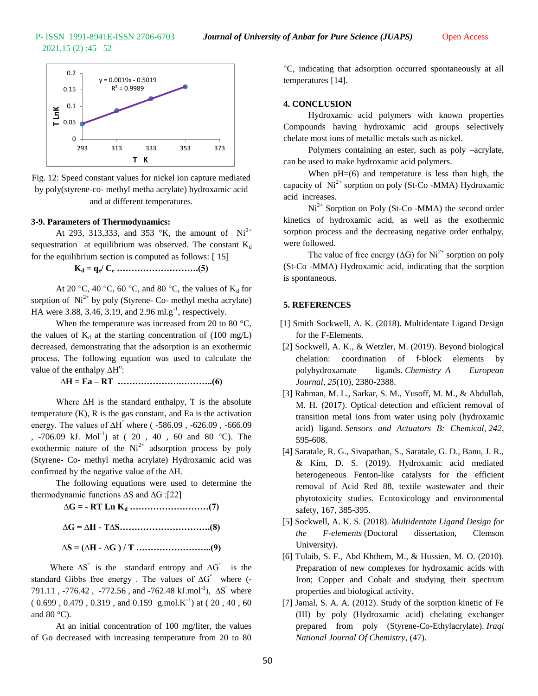

Fig. 12: Speed constant values for nickel ion capture mediated by poly(styrene-co- methyl metha acrylate) hydroxamic acid and at different temperatures.

### **3-9. Parameters of Thermodynamics:**

At 293, 313,333, and 353 °K, the amount of  $Ni^{2+}$ sequestration at equilibrium was observed. The constant  $K_d$ for the equilibrium section is computed as follows: [ 15]

**K<sup>d</sup> = q<sup>e</sup> / C<sup>e</sup> ……………………….(5)**

At 20 °C, 40 °C, 60 °C, and 80 °C, the values of  $K_d$  for sorption of  $Ni^{2+}$  by poly (Styrene- Co- methyl metha acrylate) HA were 3.88, 3.46, 3.19, and 2.96 ml.g<sup>-1</sup>, respectively.

When the temperature was increased from 20 to 80 °C, the values of  $K_d$  at the starting concentration of (100 mg/L) decreased, demonstrating that the adsorption is an exothermic process. The following equation was used to calculate the value of the enthalpy  $\Delta H^{\circ}$ :

**∆H = Ea – RT ………………….………..(6)**

Where ∆H is the standard enthalpy, T is the absolute temperature (K), R is the gas constant, and Ea is the activation energy. The values of ∆H<sup>º</sup> where ( -586.09 , -626.09 , -666.09 , -706.09 kJ. Mol<sup>-1</sup>) at ( 20, 40, 60 and 80 °C). The exothermic nature of the  $Ni^{2+}$  adsorption process by poly (Styrene- Co- methyl metha acrylate) Hydroxamic acid was confirmed by the negative value of the ∆H.

The following equations were used to determine the thermodynamic functions ∆S and ∆G :[22]

**∆G = - RT Ln K<sup>d</sup> ………………………(7)**

**∆G = ∆H - T∆S………………………….(8)**

**∆S = (∆H - ∆G ) / T ……………………..(9)**

Where  $\Delta S^{\circ}$  is the standard entropy and  $\Delta G^{\circ}$  is the standard Gibbs free energy . The values of  $\Delta G^{\circ}$  where (-791.11, -776.42, -772.56, and -762.48 kJ.mol<sup>-1</sup>),  $\Delta S^{\circ}$  where  $(0.699, 0.479, 0.319, \text{ and } 0.159 \text{ g.mol.K}^{-1})$  at  $(20, 40, 60)$ and  $80^{\circ}$ C).

At an initial concentration of 100 mg/liter, the values of Go decreased with increasing temperature from 20 to 80

°C, indicating that adsorption occurred spontaneously at all temperatures [14].

#### **4. CONCLUSION**

Hydroxamic acid polymers with known properties Compounds having hydroxamic acid groups selectively chelate most ions of metallic metals such as nickel.

Polymers containing an ester, such as poly –acrylate, can be used to make hydroxamic acid polymers.

When  $pH=(6)$  and temperature is less than high, the capacity of  $Ni<sup>2+</sup>$  sorption on poly (St-Co -MMA) Hydroxamic acid increases.

 $Ni<sup>2+</sup>$  Sorption on Poly (St-Co -MMA) the second order kinetics of hydroxamic acid, as well as the exothermic sorption process and the decreasing negative order enthalpy, were followed.

The value of free energy ( $\Delta G$ ) for Ni<sup>2+</sup> sorption on poly (St-Co -MMA) Hydroxamic acid, indicating that the sorption is spontaneous.

### **5. REFERENCES**

- [1] Smith Sockwell, A. K. (2018). Multidentate Ligand Design for the F-Elements.
- [2] Sockwell, A. K., & Wetzler, M. (2019). Beyond biological chelation: coordination of f-block elements by polyhydroxamate ligands. *Chemistry–A European Journal*, *25*(10), 2380-2388.
- [3] Rahman, M. L., Sarkar, S. M., Yusoff, M. M., & Abdullah, M. H. (2017). Optical detection and efficient removal of transition metal ions from water using poly (hydroxamic acid) ligand. *Sensors and Actuators B: Chemical*, *242*, 595-608.
- [4] Saratale, R. G., Sivapathan, S., Saratale, G. D., Banu, J. R., & Kim, D. S. (2019). Hydroxamic acid mediated heterogeneous Fenton-like catalysts for the efficient removal of Acid Red 88, textile wastewater and their phytotoxicity studies. Ecotoxicology and environmental safety, 167, 385-395.
- [5] Sockwell, A. K. S. (2018). *Multidentate Ligand Design for the F-elements* (Doctoral dissertation, Clemson University).
- [6] Tulaib, S. F., Abd Khthem, M., & Hussien, M. O. (2010). Preparation of new complexes for hydroxamic acids with Iron; Copper and Cobalt and studying their spectrum properties and biological activity.
- [7] Jamal, S. A. A. (2012). Study of the sorption kinetic of Fe (III) by poly (Hydroxamic acid) chelating exchanger prepared from poly (Styrene-Co-Ethylacrylate). *Iraqi National Journal Of Chemistry*, (47).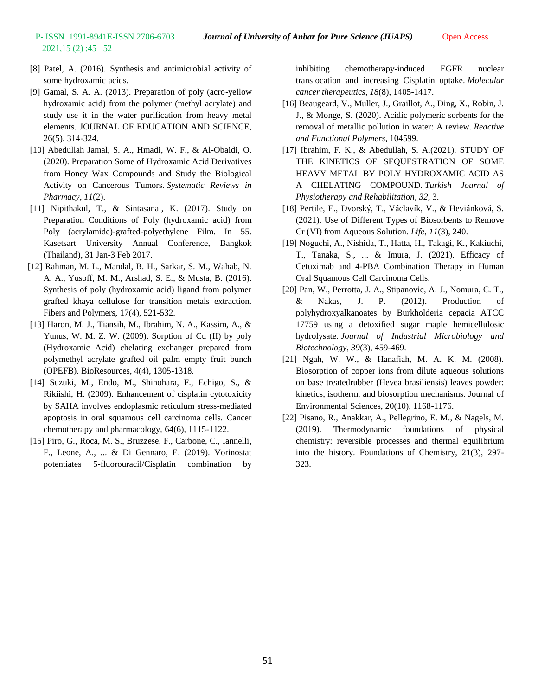- [8] Patel, A. (2016). Synthesis and antimicrobial activity of some hydroxamic acids.
- [9] Gamal, S. A. A. (2013). Preparation of poly (acro-yellow hydroxamic acid) from the polymer (methyl acrylate) and study use it in the water purification from heavy metal elements. JOURNAL OF EDUCATION AND SCIENCE, 26(5), 314-324.
- [10] Abedullah Jamal, S. A., Hmadi, W. F., & Al-Obaidi, O. (2020). Preparation Some of Hydroxamic Acid Derivatives from Honey Wax Compounds and Study the Biological Activity on Cancerous Tumors. *Systematic Reviews in Pharmacy*, *11*(2).
- [11] Nipithakul, T., & Sintasanai, K. (2017). Study on Preparation Conditions of Poly (hydroxamic acid) from Poly (acrylamide)-grafted-polyethylene Film. In 55. Kasetsart University Annual Conference, Bangkok (Thailand), 31 Jan-3 Feb 2017.
- [12] Rahman, M. L., Mandal, B. H., Sarkar, S. M., Wahab, N. A. A., Yusoff, M. M., Arshad, S. E., & Musta, B. (2016). Synthesis of poly (hydroxamic acid) ligand from polymer grafted khaya cellulose for transition metals extraction. Fibers and Polymers, 17(4), 521-532.
- [13] Haron, M. J., Tiansih, M., Ibrahim, N. A., Kassim, A., & Yunus, W. M. Z. W. (2009). Sorption of Cu (II) by poly (Hydroxamic Acid) chelating exchanger prepared from polymethyl acrylate grafted oil palm empty fruit bunch (OPEFB). BioResources, 4(4), 1305-1318.
- [14] Suzuki, M., Endo, M., Shinohara, F., Echigo, S., & Rikiishi, H. (2009). Enhancement of cisplatin cytotoxicity by SAHA involves endoplasmic reticulum stress-mediated apoptosis in oral squamous cell carcinoma cells. Cancer chemotherapy and pharmacology, 64(6), 1115-1122.
- [15] Piro, G., Roca, M. S., Bruzzese, F., Carbone, C., Iannelli, F., Leone, A., ... & Di Gennaro, E. (2019). Vorinostat potentiates 5-fluorouracil/Cisplatin combination by

inhibiting chemotherapy-induced EGFR nuclear translocation and increasing Cisplatin uptake. *Molecular cancer therapeutics*, *18*(8), 1405-1417.

- [16] Beaugeard, V., Muller, J., Graillot, A., Ding, X., Robin, J. J., & Monge, S. (2020). Acidic polymeric sorbents for the removal of metallic pollution in water: A review. *Reactive and Functional Polymers*, 104599.
- [17] Ibrahim, F. K., & Abedullah, S. A.(2021). STUDY OF THE KINETICS OF SEQUESTRATION OF SOME HEAVY METAL BY POLY HYDROXAMIC ACID AS A CHELATING COMPOUND. *Turkish Journal of Physiotherapy and Rehabilitation*, *32*, 3.
- [18] Pertile, E., Dvorský, T., Václavík, V., & Heviánková, S. (2021). Use of Different Types of Biosorbents to Remove Cr (VI) from Aqueous Solution. *Life*, *11*(3), 240.
- [19] Noguchi, A., Nishida, T., Hatta, H., Takagi, K., Kakiuchi, T., Tanaka, S., ... & Imura, J. (2021). Efficacy of Cetuximab and 4-PBA Combination Therapy in Human Oral Squamous Cell Carcinoma Cells.
- [20] Pan, W., Perrotta, J. A., Stipanovic, A. J., Nomura, C. T., & Nakas, J. P. (2012). Production of polyhydroxyalkanoates by Burkholderia cepacia ATCC 17759 using a detoxified sugar maple hemicellulosic hydrolysate. *Journal of Industrial Microbiology and Biotechnology*, *39*(3), 459-469.
- [21] Ngah, W. W., & Hanafiah, M. A. K. M. (2008). Biosorption of copper ions from dilute aqueous solutions on base treatedrubber (Hevea brasiliensis) leaves powder: kinetics, isotherm, and biosorption mechanisms. Journal of Environmental Sciences, 20(10), 1168-1176.
- [22] Pisano, R., Anakkar, A., Pellegrino, E. M., & Nagels, M. (2019). Thermodynamic foundations of physical chemistry: reversible processes and thermal equilibrium into the history. Foundations of Chemistry, 21(3), 297- 323.